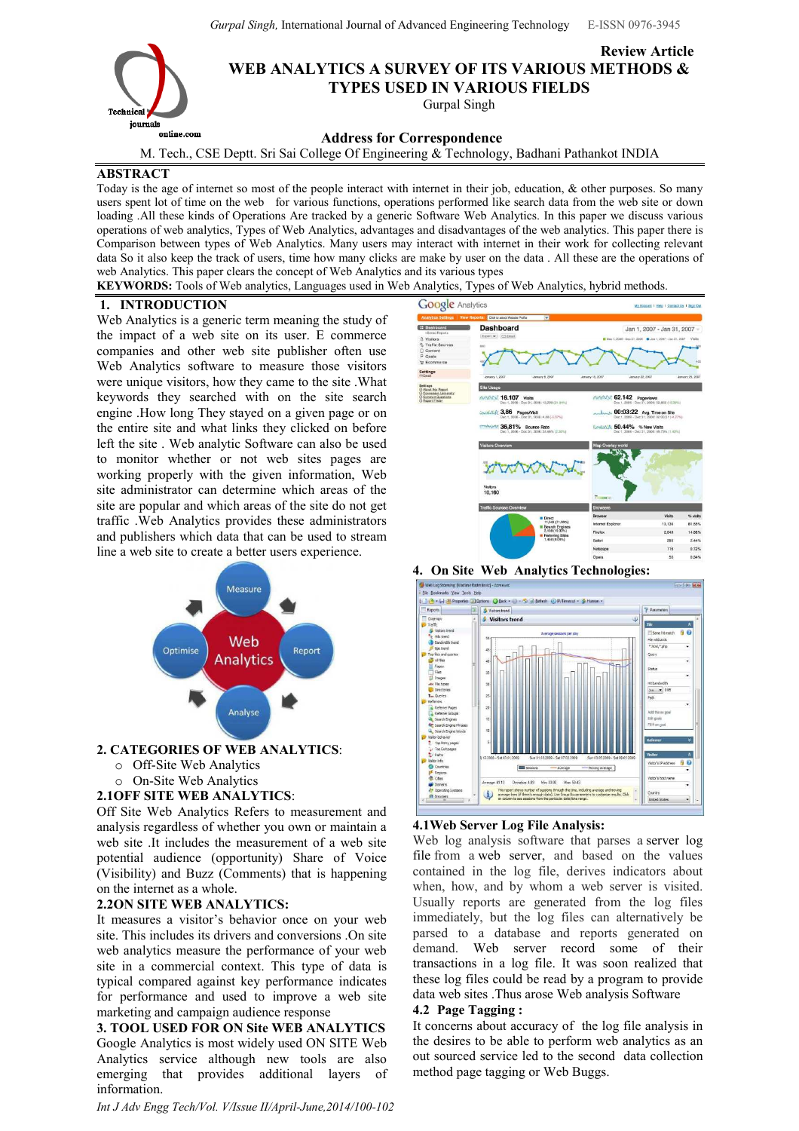Gurpal Singh, International Journal of Advanced Engineering Technology E-ISSN 0976-3945

Review Article



WEB ANALYTICS A SURVEY OF ITS VARIOUS METHODS & TYPES USED IN VARIOUS FIELDS

Gurpal Singh

# Address for Correspondence

M. Tech., CSE Deptt. Sri Sai College Of Engineering & Technology, Badhani Pathankot INDIA

## ABSTRACT

Today is the age of internet so most of the people interact with internet in their job, education,  $\&$  other purposes. So many users spent lot of time on the web for various functions, operations performed like search data from the web site or down loading .All these kinds of Operations Are tracked by a generic Software Web Analytics. In this paper we discuss various operations of web analytics, Types of Web Analytics, advantages and disadvantages of the web analytics. This paper there is Comparison between types of Web Analytics. Many users may interact with internet in their work for collecting relevant data So it also keep the track of users, time how many clicks are make by user on the data . All these are the operations of web Analytics. This paper clears the concept of Web Analytics and its various types

KEYWORDS: Tools of Web analytics, Languages used in Web Analytics, Types of Web Analytics, hybrid methods.

### 1. INTRODUCTION

Web Analytics is a generic term meaning the study of the impact of a web site on its user. E commerce companies and other web site publisher often use Web Analytics software to measure those visitors were unique visitors, how they came to the site .What keywords they searched with on the site search engine .How long They stayed on a given page or on the entire site and what links they clicked on before left the site . Web analytic Software can also be used to monitor whether or not web sites pages are working properly with the given information, Web site administrator can determine which areas of the site are popular and which areas of the site do not get traffic .Web Analytics provides these administrators and publishers which data that can be used to stream line a web site to create a better users experience.



## 2. CATEGORIES OF WEB ANALYTICS:

- o Off-Site Web Analytics
- o On-Site Web Analytics
- 2.1OFF SITE WEB ANALYTICS:

Off Site Web Analytics Refers to measurement and analysis regardless of whether you own or maintain a web site .It includes the measurement of a web site potential audience (opportunity) Share of Voice (Visibility) and Buzz (Comments) that is happening on the internet as a whole.

## 2.2ON SITE WEB ANALYTICS:

It measures a visitor's behavior once on your web site. This includes its drivers and conversions .On site web analytics measure the performance of your web site in a commercial context. This type of data is typical compared against key performance indicates for performance and used to improve a web site marketing and campaign audience response

3. TOOL USED FOR ON Site WEB ANALYTICS Google Analytics is most widely used ON SITE Web Analytics service although new tools are also emerging that provides additional layers of information.

Int J Adv Engg Tech/Vol. V/Issue II/April-June,2014/100-102



4. On Site Web Analytics Technologies:



## 4.1Web Server Log File Analysis:

Web log analysis software that parses a server log file from a web server, and based on the values contained in the log file, derives indicators about when, how, and by whom a web server is visited. Usually reports are generated from the log files immediately, but the log files can alternatively be parsed to a database and reports generated on demand. Web server record some of their transactions in a log file. It was soon realized that these log files could be read by a program to provide data web sites .Thus arose Web analysis Software

## 4.2 Page Tagging :

It concerns about accuracy of the log file analysis in the desires to be able to perform web analytics as an out sourced service led to the second data collection method page tagging or Web Buggs.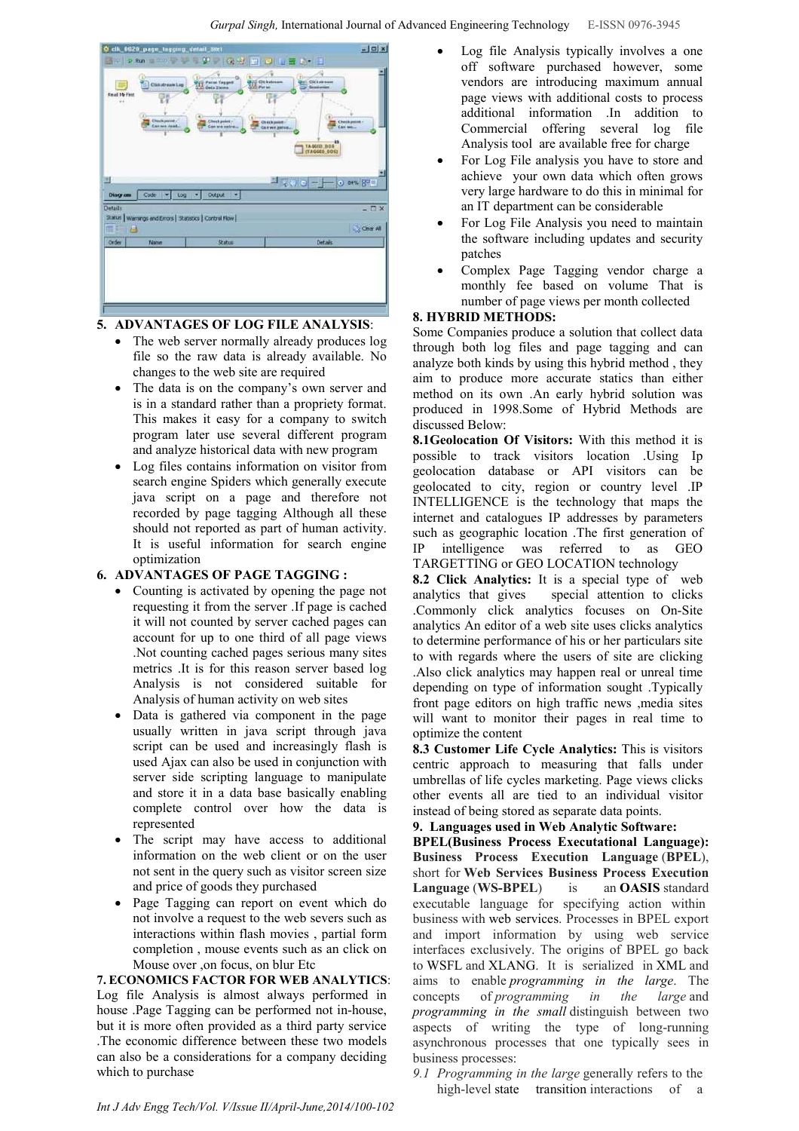

## 5. ADVANTAGES OF LOG FILE ANALYSIS:

- The web server normally already produces log file so the raw data is already available. No changes to the web site are required
- The data is on the company's own server and is in a standard rather than a propriety format. This makes it easy for a company to switch program later use several different program and analyze historical data with new program
- Log files contains information on visitor from search engine Spiders which generally execute java script on a page and therefore not recorded by page tagging Although all these should not reported as part of human activity. It is useful information for search engine optimization

## 6. ADVANTAGES OF PAGE TAGGING :

- Counting is activated by opening the page not requesting it from the server .If page is cached it will not counted by server cached pages can account for up to one third of all page views .Not counting cached pages serious many sites metrics .It is for this reason server based log Analysis is not considered suitable for Analysis of human activity on web sites
- Data is gathered via component in the page usually written in java script through java script can be used and increasingly flash is used Ajax can also be used in conjunction with server side scripting language to manipulate and store it in a data base basically enabling complete control over how the data is represented
- The script may have access to additional information on the web client or on the user not sent in the query such as visitor screen size and price of goods they purchased
- Page Tagging can report on event which do not involve a request to the web severs such as interactions within flash movies , partial form completion , mouse events such as an click on Mouse over ,on focus, on blur Etc

7. ECONOMICS FACTOR FOR WEB ANALYTICS: Log file Analysis is almost always performed in house .Page Tagging can be performed not in-house, but it is more often provided as a third party service .The economic difference between these two models can also be a considerations for a company deciding which to purchase

- Log file Analysis typically involves a one off software purchased however, some vendors are introducing maximum annual page views with additional costs to process additional information .In addition to Commercial offering several log file Analysis tool are available free for charge
- For Log File analysis you have to store and achieve your own data which often grows very large hardware to do this in minimal for an IT department can be considerable
- For Log File Analysis you need to maintain the software including updates and security patches
- Complex Page Tagging vendor charge a monthly fee based on volume That is number of page views per month collected

## 8. HYBRID METHODS:

Some Companies produce a solution that collect data through both log files and page tagging and can analyze both kinds by using this hybrid method , they aim to produce more accurate statics than either method on its own .An early hybrid solution was produced in 1998.Some of Hybrid Methods are discussed Below:

8.1Geolocation Of Visitors: With this method it is possible to track visitors location .Using Ip geolocation database or API visitors can be geolocated to city, region or country level .IP INTELLIGENCE is the technology that maps the internet and catalogues IP addresses by parameters such as geographic location .The first generation of IP intelligence was referred to as GEO TARGETTING or GEO LOCATION technology

8.2 Click Analytics: It is a special type of web analytics that gives special attention to clicks .Commonly click analytics focuses on On-Site analytics An editor of a web site uses clicks analytics to determine performance of his or her particulars site to with regards where the users of site are clicking .Also click analytics may happen real or unreal time depending on type of information sought .Typically front page editors on high traffic news ,media sites will want to monitor their pages in real time to optimize the content

8.3 Customer Life Cycle Analytics: This is visitors centric approach to measuring that falls under umbrellas of life cycles marketing. Page views clicks other events all are tied to an individual visitor instead of being stored as separate data points.

9. Languages used in Web Analytic Software:

BPEL(Business Process Executational Language): Business Process Execution Language (BPEL), short for Web Services Business Process Execution Language (WS-BPEL) is an OASIS standard executable language for specifying action within business with web services. Processes in BPEL export and import information by using web service interfaces exclusively. The origins of BPEL go back to WSFL and XLANG. It is serialized in XML and aims to enable programming in the large. The concepts of programming in the large and programming in the small distinguish between two aspects of writing the type of long-running asynchronous processes that one typically sees in business processes:

9.1 Programming in the large generally refers to the high-level state transition interactions of a